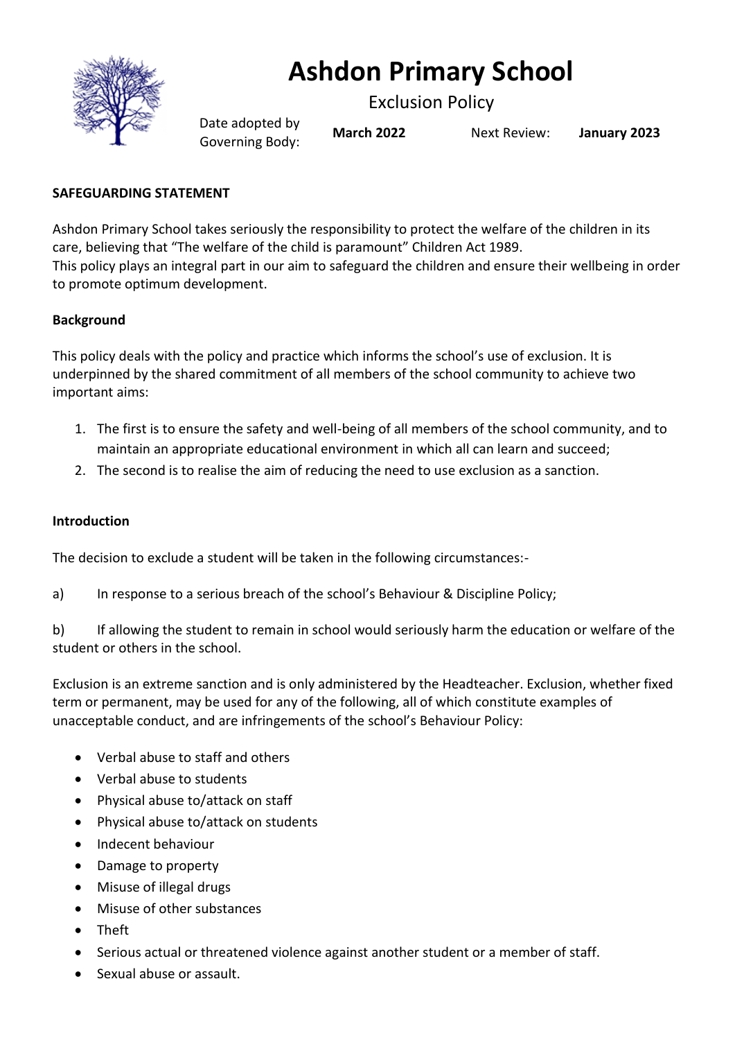

# **Ashdon Primary School**

Exclusion Policy

Date adopted by Governing Body: **March <sup>2022</sup>** Next Review: **January <sup>2023</sup>**

# **SAFEGUARDING STATEMENT**

Ashdon Primary School takes seriously the responsibility to protect the welfare of the children in its care, believing that "The welfare of the child is paramount" Children Act 1989. This policy plays an integral part in our aim to safeguard the children and ensure their wellbeing in order to promote optimum development.

# **Background**

This policy deals with the policy and practice which informs the school's use of exclusion. It is underpinned by the shared commitment of all members of the school community to achieve two important aims:

- 1. The first is to ensure the safety and well-being of all members of the school community, and to maintain an appropriate educational environment in which all can learn and succeed;
- 2. The second is to realise the aim of reducing the need to use exclusion as a sanction.

# **Introduction**

The decision to exclude a student will be taken in the following circumstances:-

a) In response to a serious breach of the school's Behaviour & Discipline Policy;

b) If allowing the student to remain in school would seriously harm the education or welfare of the student or others in the school.

Exclusion is an extreme sanction and is only administered by the Headteacher. Exclusion, whether fixed term or permanent, may be used for any of the following, all of which constitute examples of unacceptable conduct, and are infringements of the school's Behaviour Policy:

- Verbal abuse to staff and others
- Verbal abuse to students
- Physical abuse to/attack on staff
- Physical abuse to/attack on students
- Indecent behaviour
- Damage to property
- Misuse of illegal drugs
- Misuse of other substances
- Theft
- Serious actual or threatened violence against another student or a member of staff.
- Sexual abuse or assault.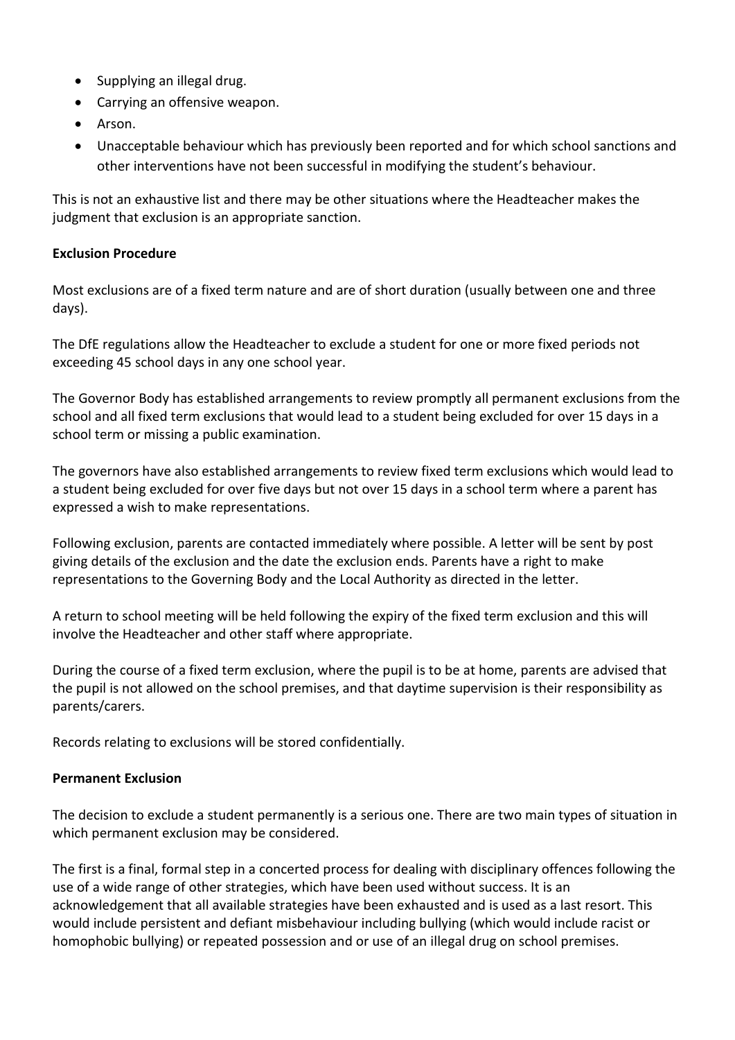- Supplying an illegal drug.
- Carrying an offensive weapon.
- Arson.
- Unacceptable behaviour which has previously been reported and for which school sanctions and other interventions have not been successful in modifying the student's behaviour.

This is not an exhaustive list and there may be other situations where the Headteacher makes the judgment that exclusion is an appropriate sanction.

#### **Exclusion Procedure**

Most exclusions are of a fixed term nature and are of short duration (usually between one and three days).

The DfE regulations allow the Headteacher to exclude a student for one or more fixed periods not exceeding 45 school days in any one school year.

The Governor Body has established arrangements to review promptly all permanent exclusions from the school and all fixed term exclusions that would lead to a student being excluded for over 15 days in a school term or missing a public examination.

The governors have also established arrangements to review fixed term exclusions which would lead to a student being excluded for over five days but not over 15 days in a school term where a parent has expressed a wish to make representations.

Following exclusion, parents are contacted immediately where possible. A letter will be sent by post giving details of the exclusion and the date the exclusion ends. Parents have a right to make representations to the Governing Body and the Local Authority as directed in the letter.

A return to school meeting will be held following the expiry of the fixed term exclusion and this will involve the Headteacher and other staff where appropriate.

During the course of a fixed term exclusion, where the pupil is to be at home, parents are advised that the pupil is not allowed on the school premises, and that daytime supervision is their responsibility as parents/carers.

Records relating to exclusions will be stored confidentially.

# **Permanent Exclusion**

The decision to exclude a student permanently is a serious one. There are two main types of situation in which permanent exclusion may be considered.

The first is a final, formal step in a concerted process for dealing with disciplinary offences following the use of a wide range of other strategies, which have been used without success. It is an acknowledgement that all available strategies have been exhausted and is used as a last resort. This would include persistent and defiant misbehaviour including bullying (which would include racist or homophobic bullying) or repeated possession and or use of an illegal drug on school premises.